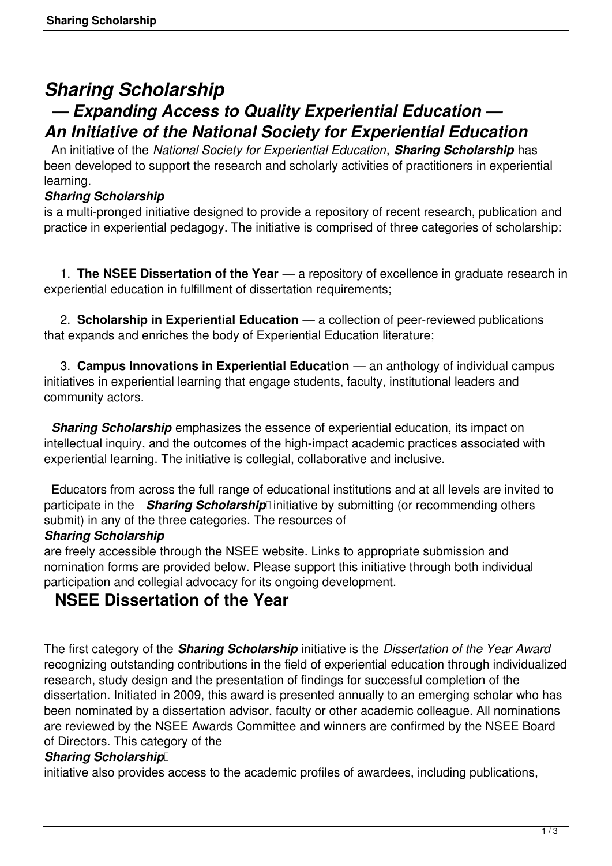# *Sharing Scholarship — Expanding Access to Quality Experiential Education — An Initiative of the National Society for Experiential Education*

 An initiative of the *National Society for Experiential Education*, *Sharing Scholarship* has been developed to support the research and scholarly activities of practitioners in experiential learning.

### *Sharing Scholarship*

is a multi-pronged initiative designed to provide a repository of recent research, publication and practice in experiential pedagogy. The initiative is comprised of three categories of scholarship:

 1. **The NSEE Dissertation of the Year** — a repository of excellence in graduate research in experiential education in fulfillment of dissertation requirements;

 2. **Scholarship in Experiential Education** — a collection of peer-reviewed publications that expands and enriches the body of Experiential Education literature;

 3. **Campus Innovations in Experiential Education** — an anthology of individual campus initiatives in experiential learning that engage students, faculty, institutional leaders and community actors.

**Sharing Scholarship** emphasizes the essence of experiential education, its impact on intellectual inquiry, and the outcomes of the high-impact academic practices associated with experiential learning. The initiative is collegial, collaborative and inclusive.

 Educators from across the full range of educational institutions and at all levels are invited to participate in the *Sharing Scholarship* initiative by submitting (or recommending others submit) in any of the three categories. The resources of

#### *Sharing Scholarship*

are freely accessible through the NSEE website. Links to appropriate submission and nomination forms are provided below. Please support this initiative through both individual participation and collegial advocacy for its ongoing development.

# **NSEE Dissertation of the Year**

The first category of the *Sharing Scholarship* initiative is the *Dissertation of the Year Award* recognizing outstanding contributions in the field of experiential education through individualized research, study design and the presentation of findings for successful completion of the dissertation. Initiated in 2009, this award is presented annually to an emerging scholar who has been nominated by a dissertation advisor, faculty or other academic colleague. All nominations are reviewed by the NSEE Awards Committee and winners are confirmed by the NSEE Board of Directors. This category of the

#### **Sharing Scholarship**

initiative also provides access to the academic profiles of awardees, including publications,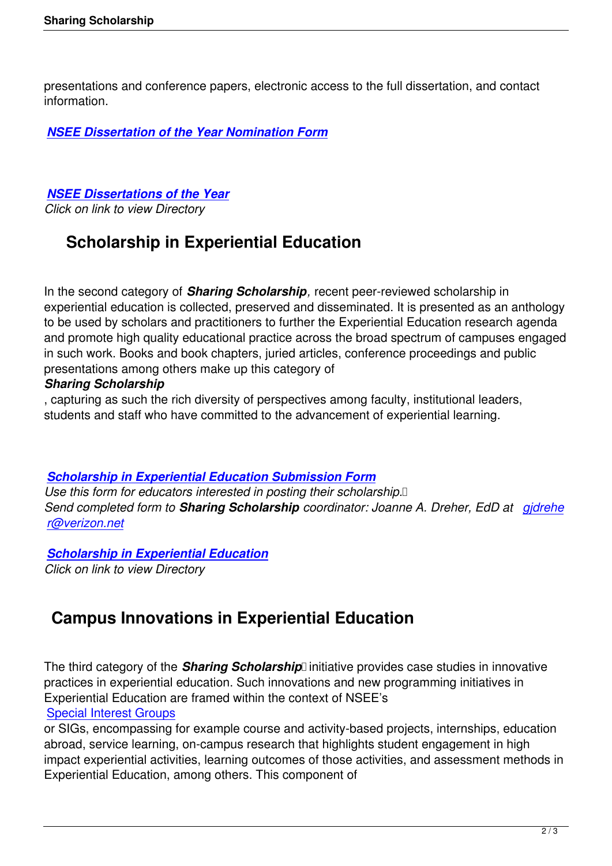presentations and conference papers, electronic access to the full dissertation, and contact information.

*NSEE Dissertation of the Year Nomination Form*

*[NSEE Dissertations of the Year](https://nsee.memberclicks.net/2019_awards_of_excellence_nomination_form#/)*

*Click on link to view Directory*

# **[Scholarship in Exper](http://www.nsee.org/nsee-dissertations-of-the-year)iential Education**

In the second category of *Sharing Scholarship,* recent peer-reviewed scholarship in experiential education is collected, preserved and disseminated. It is presented as an anthology to be used by scholars and practitioners to further the Experiential Education research agenda and promote high quality educational practice across the broad spectrum of campuses engaged in such work. Books and book chapters, juried articles, conference proceedings and public presentations among others make up this category of

# *Sharing Scholarship*

, capturing as such the rich diversity of perspectives among faculty, institutional leaders, students and staff who have committed to the advancement of experiential learning.

## *Scholarship in Experiential Education Submission Form*

*Use this form for educators interested in posting their scholarship. Send completed form to Sharing Scholarship coordinator: Joanne A. Dreher, EdD at gjdrehe [r@verizon.net](https://nsee.memberclicks.net/assets/docs/Sharing_Scholarship/ss-sharing%20scholarship-submission%20form.docx)*

# *Scholarship in Experiential Education*

*[Click on link to](mailto:%20gjdreher@verizon.net) view Directory*

# **[Campus Innovations in Expe](http://www.nsee.org/scholarship-in-experiential-education)riential Education**

The third category of the **Sharing Scholarship** initiative provides case studies in innovative practices in experiential education. Such innovations and new programming initiatives in Experiential Education are framed within the context of NSEE's Special Interest Groups

or SIGs, encompassing for example course and activity-based projects, internships, education abroad, service learning, on-campus research that highlights student engagement in high [impact experiential activi](https://nsee.memberclicks.net/sigs_regions)ties, learning outcomes of those activities, and assessment methods in Experiential Education, among others. This component of